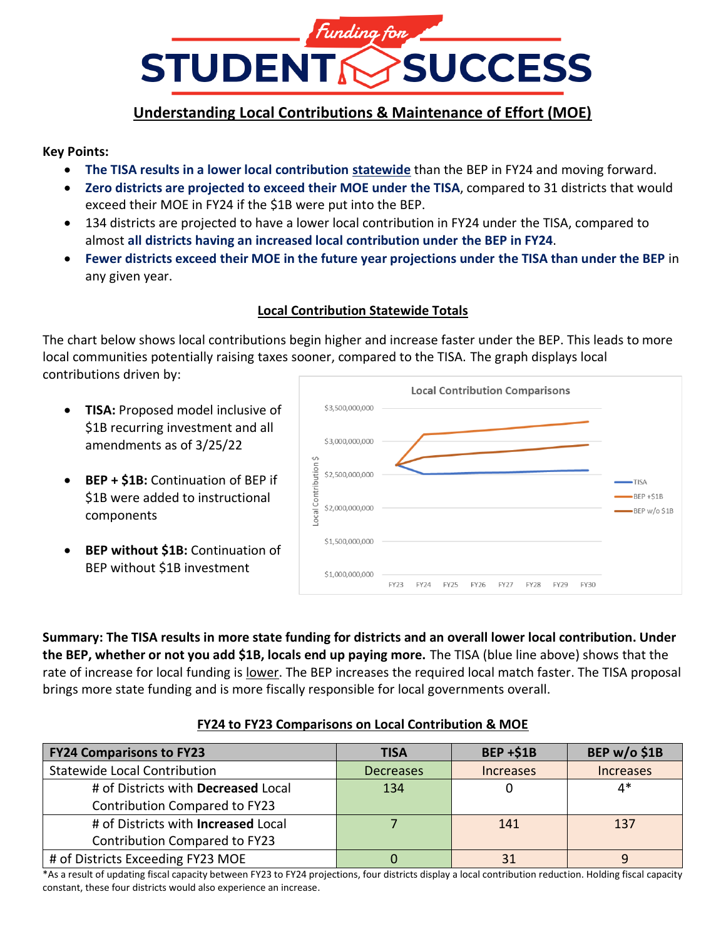

## **Understanding Local Contributions & Maintenance of Effort (MOE)**

#### **Key Points:**

- **The TISA results in a lower local contribution statewide** than the BEP in FY24 and moving forward.
- **Zero districts are projected to exceed their MOE under the TISA**, compared to 31 districts that would exceed their MOE in FY24 if the \$1B were put into the BEP.
- 134 districts are projected to have a lower local contribution in FY24 under the TISA, compared to almost **all districts having an increased local contribution under the BEP in FY24**.
- **Fewer districts exceed their MOE in the future year projections under the TISA than under the BEP** in any given year.

#### **Local Contribution Statewide Totals**

The chart below shows local contributions begin higher and increase faster under the BEP. This leads to more local communities potentially raising taxes sooner, compared to the TISA. The graph displays local contributions driven by:

- **TISA:** Proposed model inclusive of \$1B recurring investment and all amendments as of 3/25/22
- **BEP + \$1B:** Continuation of BEP if \$1B were added to instructional components
- **BEP without \$1B:** Continuation of BEP without \$1B investment



**Summary: The TISA results in more state funding for districts and an overall lower local contribution. Under the BEP, whether or not you add \$1B, locals end up paying more.** The TISA (blue line above) shows that the rate of increase for local funding is lower. The BEP increases the required local match faster. The TISA proposal brings more state funding and is more fiscally responsible for local governments overall.

#### **FY24 to FY23 Comparisons on Local Contribution & MOE**

| <b>FY24 Comparisons to FY23</b>      | <b>TISA</b>      | <b>BEP +\$1B</b> | BEP w/o \$1B                   |
|--------------------------------------|------------------|------------------|--------------------------------|
| <b>Statewide Local Contribution</b>  | <b>Decreases</b> | <b>Increases</b> | <i><u><b>Increases</b></u></i> |
| # of Districts with Decreased Local  | 134              |                  | 4*                             |
| Contribution Compared to FY23        |                  |                  |                                |
| # of Districts with Increased Local  |                  | 141              | 137                            |
| <b>Contribution Compared to FY23</b> |                  |                  |                                |
| # of Districts Exceeding FY23 MOE    |                  | 31               |                                |

\*As a result of updating fiscal capacity between FY23 to FY24 projections, four districts display a local contribution reduction. Holding fiscal capacity constant, these four districts would also experience an increase.